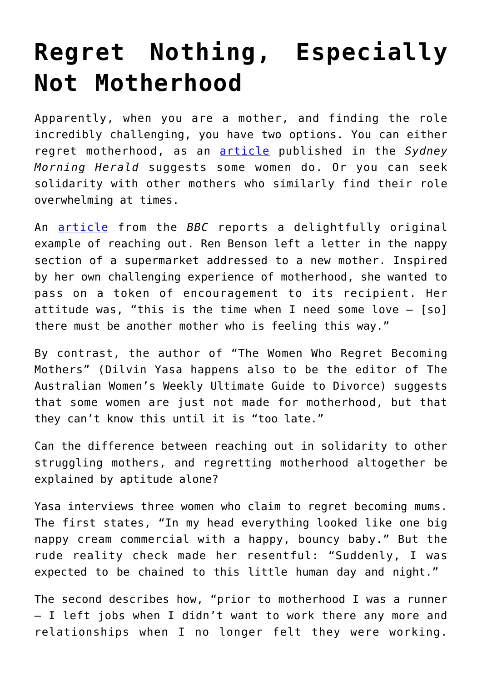## **[Regret Nothing, Especially](https://intellectualtakeout.org/2017/09/regret-nothing-especially-not-motherhood/) [Not Motherhood](https://intellectualtakeout.org/2017/09/regret-nothing-especially-not-motherhood/)**

Apparently, when you are a mother, and finding the role incredibly challenging, you have two options. You can either regret motherhood, as an [article](http://www.smh.com.au/lifestyle/life-and-relationships/parenting/meet-three-women-who-have-had-second-thoughts-about-becoming-mothers-20170615-gwrj4c.html) published in the *Sydney Morning Herald* suggests some women do. Or you can seek solidarity with other mothers who similarly find their role overwhelming at times.

An [article](http://www.bbc.com/news/uk-england-york-north-yorkshire-40976330) from the *BBC* reports a delightfully original example of reaching out. Ren Benson left a letter in the nappy section of a supermarket addressed to a new mother. Inspired by her own challenging experience of motherhood, she wanted to pass on a token of encouragement to its recipient. Her attitude was, "this is the time when I need some love  $-$  [so] there must be another mother who is feeling this way."

By contrast, the author of "The Women Who Regret Becoming Mothers" (Dilvin Yasa happens also to be the editor of The Australian Women's Weekly Ultimate Guide to Divorce) suggests that some women are just not made for motherhood, but that they can't know this until it is "too late."

Can the difference between reaching out in solidarity to other struggling mothers, and regretting motherhood altogether be explained by aptitude alone?

Yasa interviews three women who claim to regret becoming mums. The first states, "In my head everything looked like one big nappy cream commercial with a happy, bouncy baby." But the rude reality check made her resentful: "Suddenly, I was expected to be chained to this little human day and night."

The second describes how, "prior to motherhood I was a runner – I left jobs when I didn't want to work there any more and relationships when I no longer felt they were working.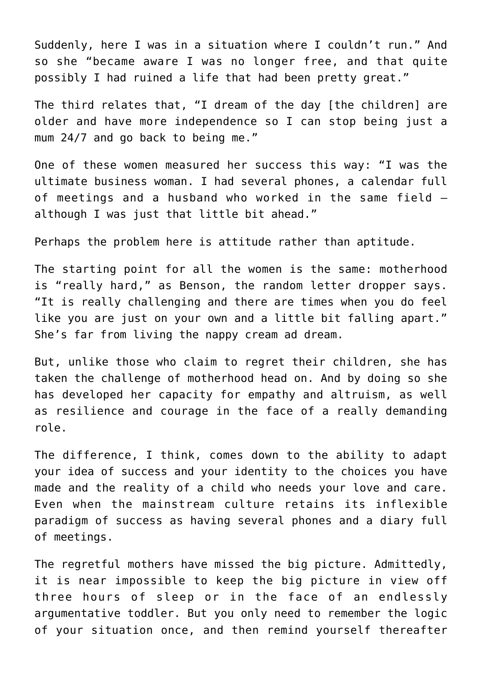Suddenly, here I was in a situation where I couldn't run." And so she "became aware I was no longer free, and that quite possibly I had ruined a life that had been pretty great."

The third relates that, "I dream of the day [the children] are older and have more independence so I can stop being just a mum 24/7 and go back to being me."

One of these women measured her success this way: "I was the ultimate business woman. I had several phones, a calendar full of meetings and a husband who worked in the same field – although I was just that little bit ahead."

Perhaps the problem here is attitude rather than aptitude.

The starting point for all the women is the same: motherhood is "really hard," as Benson, the random letter dropper says. "It is really challenging and there are times when you do feel like you are just on your own and a little bit falling apart." She's far from living the nappy cream ad dream.

But, unlike those who claim to regret their children, she has taken the challenge of motherhood head on. And by doing so she has developed her capacity for empathy and altruism, as well as resilience and courage in the face of a really demanding role.

The difference, I think, comes down to the ability to adapt your idea of success and your identity to the choices you have made and the reality of a child who needs your love and care. Even when the mainstream culture retains its inflexible paradigm of success as having several phones and a diary full of meetings.

The regretful mothers have missed the big picture. Admittedly, it is near impossible to keep the big picture in view off three hours of sleep or in the face of an endlessly argumentative toddler. But you only need to remember the logic of your situation once, and then remind yourself thereafter